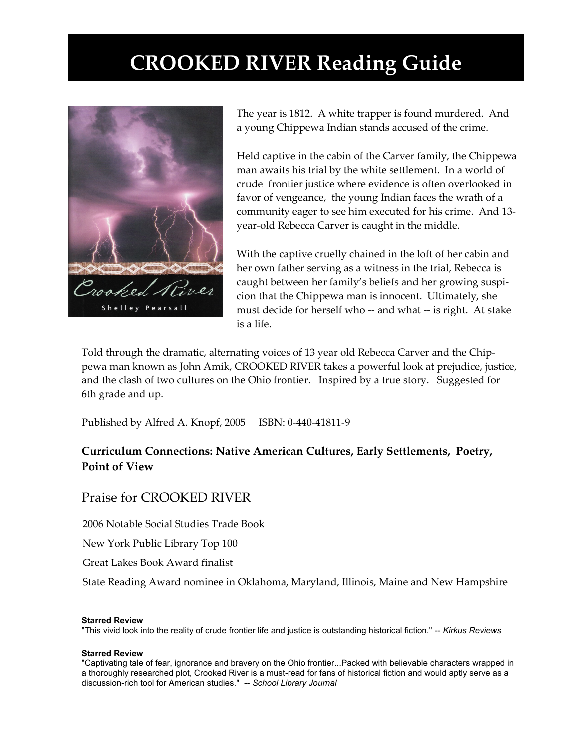## **CROOKED RIVER Reading Guide**



The year is 1812. A white trapper is found murdered. And a young Chippewa Indian stands accused of the crime.

Held captive in the cabin of the Carver family, the Chippewa man awaits his trial by the white settlement. In a world of crude frontier justice where evidence is often overlooked in favor of vengeance, the young Indian faces the wrath of a community eager to see him executed for his crime. And 13 year-old Rebecca Carver is caught in the middle.

With the captive cruelly chained in the loft of her cabin and her own father serving as a witness in the trial, Rebecca is caught between her family's beliefs and her growing suspicion that the Chippewa man is innocent. Ultimately, she must decide for herself who -- and what -- is right. At stake is a life.

Told through the dramatic, alternating voices of 13 year old Rebecca Carver and the Chippewa man known as John Amik, CROOKED RIVER takes a powerful look at prejudice, justice, and the clash of two cultures on the Ohio frontier. Inspired by a true story. Suggested for 6th grade and up.

Published by Alfred A. Knopf, 2005 ISBN: 0-440-41811-9

#### **Curriculum Connections: Native American Cultures, Early Settlements, Poetry, Point of View**

#### Praise for CROOKED RIVER

2006 Notable Social Studies Trade Book

New York Public Library Top 100

Great Lakes Book Award finalist

State Reading Award nominee in Oklahoma, Maryland, Illinois, Maine and New Hampshire

#### **Starred Review**

"This vivid look into the reality of crude frontier life and justice is outstanding historical fiction." -- *Kirkus Reviews*

#### **Starred Review**

"Captivating tale of fear, ignorance and bravery on the Ohio frontier...Packed with believable characters wrapped in a thoroughly researched plot, Crooked River is a must-read for fans of historical fiction and would aptly serve as a discussion-rich tool for American studies." -- *School Library Journal*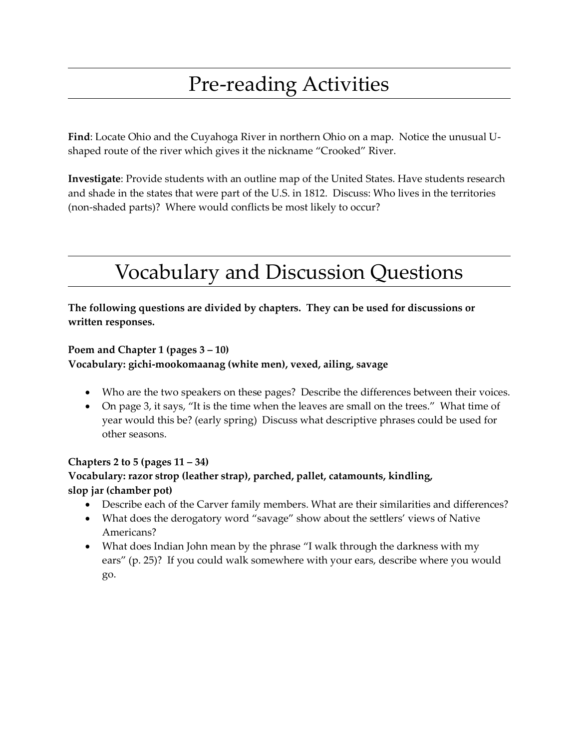# Pre-reading Activities

**Find**: Locate Ohio and the Cuyahoga River in northern Ohio on a map. Notice the unusual Ushaped route of the river which gives it the nickname "Crooked" River.

**Investigate**: Provide students with an outline map of the United States. Have students research and shade in the states that were part of the U.S. in 1812. Discuss: Who lives in the territories (non-shaded parts)? Where would conflicts be most likely to occur?

# Vocabulary and Discussion Questions

**The following questions are divided by chapters. They can be used for discussions or written responses.**

#### **Poem and Chapter 1 (pages 3 – 10)**

**Vocabulary: gichi-mookomaanag (white men), vexed, ailing, savage**

- Who are the two speakers on these pages? Describe the differences between their voices.
- On page 3, it says, "It is the time when the leaves are small on the trees." What time of year would this be? (early spring) Discuss what descriptive phrases could be used for other seasons.

#### **Chapters 2 to 5 (pages 11 – 34)**

#### **Vocabulary: razor strop (leather strap), parched, pallet, catamounts, kindling, slop jar (chamber pot)**

- Describe each of the Carver family members. What are their similarities and differences?
- What does the derogatory word "savage" show about the settlers' views of Native Americans?
- What does Indian John mean by the phrase "I walk through the darkness with my ears" (p. 25)? If you could walk somewhere with your ears, describe where you would go.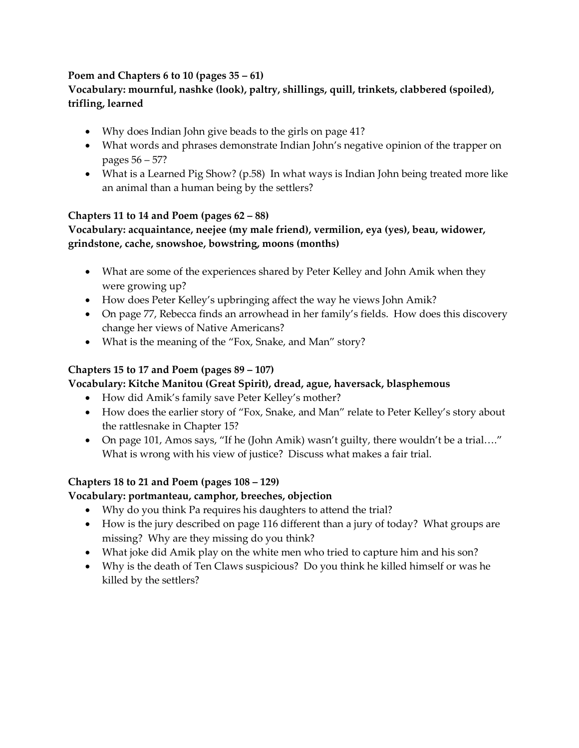#### **Poem and Chapters 6 to 10 (pages 35 – 61)**

#### **Vocabulary: mournful, nashke (look), paltry, shillings, quill, trinkets, clabbered (spoiled), trifling, learned**

- Why does Indian John give beads to the girls on page 41?
- What words and phrases demonstrate Indian John's negative opinion of the trapper on pages 56 – 57?
- What is a Learned Pig Show? (p.58) In what ways is Indian John being treated more like an animal than a human being by the settlers?

#### **Chapters 11 to 14 and Poem (pages 62 – 88)**

#### **Vocabulary: acquaintance, neejee (my male friend), vermilion, eya (yes), beau, widower, grindstone, cache, snowshoe, bowstring, moons (months)**

- What are some of the experiences shared by Peter Kelley and John Amik when they were growing up?
- How does Peter Kelley's upbringing affect the way he views John Amik?
- On page 77, Rebecca finds an arrowhead in her family's fields. How does this discovery change her views of Native Americans?
- What is the meaning of the "Fox, Snake, and Man" story?

#### **Chapters 15 to 17 and Poem (pages 89 – 107)**

#### **Vocabulary: Kitche Manitou (Great Spirit), dread, ague, haversack, blasphemous**

- How did Amik's family save Peter Kelley's mother?
- How does the earlier story of "Fox, Snake, and Man" relate to Peter Kelley's story about the rattlesnake in Chapter 15?
- On page 101, Amos says, "If he (John Amik) wasn't guilty, there wouldn't be a trial…." What is wrong with his view of justice? Discuss what makes a fair trial.

#### **Chapters 18 to 21 and Poem (pages 108 – 129)**

#### **Vocabulary: portmanteau, camphor, breeches, objection**

- Why do you think Pa requires his daughters to attend the trial?
- How is the jury described on page 116 different than a jury of today? What groups are missing? Why are they missing do you think?
- What joke did Amik play on the white men who tried to capture him and his son?
- Why is the death of Ten Claws suspicious? Do you think he killed himself or was he killed by the settlers?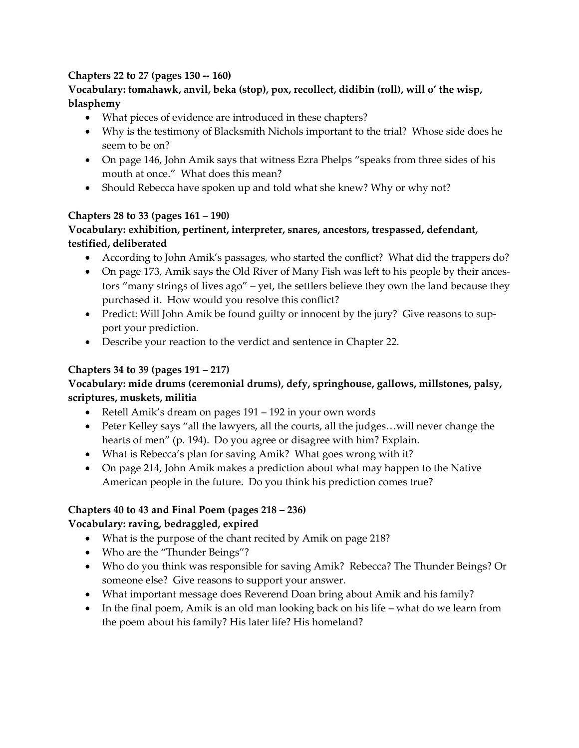#### **Chapters 22 to 27 (pages 130 -- 160)**

#### **Vocabulary: tomahawk, anvil, beka (stop), pox, recollect, didibin (roll), will o' the wisp, blasphemy**

- What pieces of evidence are introduced in these chapters?
- Why is the testimony of Blacksmith Nichols important to the trial? Whose side does he seem to be on?
- On page 146, John Amik says that witness Ezra Phelps "speaks from three sides of his mouth at once." What does this mean?
- Should Rebecca have spoken up and told what she knew? Why or why not?

### **Chapters 28 to 33 (pages 161 – 190)**

#### **Vocabulary: exhibition, pertinent, interpreter, snares, ancestors, trespassed, defendant, testified, deliberated**

- According to John Amik's passages, who started the conflict? What did the trappers do?
- On page 173, Amik says the Old River of Many Fish was left to his people by their ancestors "many strings of lives ago" – yet, the settlers believe they own the land because they purchased it. How would you resolve this conflict?
- Predict: Will John Amik be found guilty or innocent by the jury? Give reasons to support your prediction.
- Describe your reaction to the verdict and sentence in Chapter 22.

#### **Chapters 34 to 39 (pages 191 – 217)**

#### **Vocabulary: mide drums (ceremonial drums), defy, springhouse, gallows, millstones, palsy, scriptures, muskets, militia**

- Retell Amik's dream on pages 191 192 in your own words
- Peter Kelley says "all the lawyers, all the courts, all the judges... will never change the hearts of men" (p. 194). Do you agree or disagree with him? Explain.
- What is Rebecca's plan for saving Amik? What goes wrong with it?
- On page 214, John Amik makes a prediction about what may happen to the Native American people in the future. Do you think his prediction comes true?

#### **Chapters 40 to 43 and Final Poem (pages 218 – 236)**

#### **Vocabulary: raving, bedraggled, expired**

- What is the purpose of the chant recited by Amik on page 218?
- Who are the "Thunder Beings"?
- Who do you think was responsible for saving Amik? Rebecca? The Thunder Beings? Or someone else? Give reasons to support your answer.
- What important message does Reverend Doan bring about Amik and his family?
- $\bullet$  In the final poem, Amik is an old man looking back on his life what do we learn from the poem about his family? His later life? His homeland?